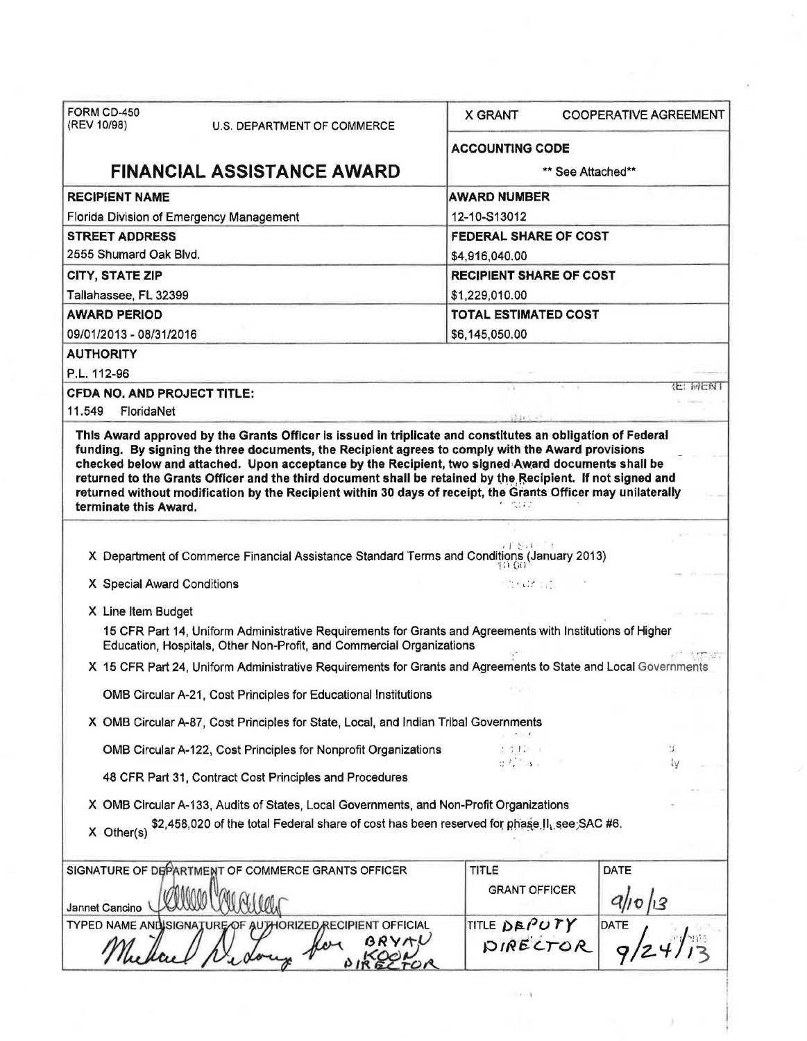| FORM CD-450<br>(REV 10/98)                         | U.S. DEPARTMENT OF COMMERCE                                                                                                                                                       | <b>X GRANT</b>               | <b>COOPERATIVE AGREEMENT</b> |  |
|----------------------------------------------------|-----------------------------------------------------------------------------------------------------------------------------------------------------------------------------------|------------------------------|------------------------------|--|
|                                                    |                                                                                                                                                                                   | <b>ACCOUNTING CODE</b>       |                              |  |
|                                                    | <b>FINANCIAL ASSISTANCE AWARD</b>                                                                                                                                                 | ** See Attached**            |                              |  |
| <b>RECIPIENT NAME</b>                              |                                                                                                                                                                                   | <b>AWARD NUMBER</b>          |                              |  |
|                                                    | Florida Division of Emergency Management                                                                                                                                          | 12-10-S13012                 |                              |  |
| <b>STREET ADDRESS</b>                              |                                                                                                                                                                                   | <b>FEDERAL SHARE OF COST</b> |                              |  |
| 2555 Shumard Oak Blvd.                             |                                                                                                                                                                                   | \$4,916,040.00               |                              |  |
| <b>CITY, STATE ZIP</b>                             | <b>RECIPIENT SHARE OF COST</b>                                                                                                                                                    |                              |                              |  |
| Tallahassee, FL 32399                              |                                                                                                                                                                                   | \$1,229,010.00               |                              |  |
| <b>TOTAL ESTIMATED COST</b><br><b>AWARD PERIOD</b> |                                                                                                                                                                                   |                              |                              |  |
| 09/01/2013 - 08/31/2016                            |                                                                                                                                                                                   | \$6,145,050.00               |                              |  |
| <b>AUTHORITY</b>                                   |                                                                                                                                                                                   |                              |                              |  |
| P.L. 112-96                                        |                                                                                                                                                                                   |                              |                              |  |
| <b>CFDA NO, AND PROJECT TITLE:</b>                 |                                                                                                                                                                                   |                              | 化二网层双丁                       |  |
| 11.549<br>FloridaNet                               |                                                                                                                                                                                   |                              |                              |  |
| terminate this Award.                              |                                                                                                                                                                                   | 计数据信号                        |                              |  |
|                                                    | X Department of Commerce Financial Assistance Standard Terms and Conditions (January 2013)                                                                                        |                              |                              |  |
| X Special Award Conditions                         |                                                                                                                                                                                   | <b>STAR ST</b>               |                              |  |
| X Line Item Budget                                 |                                                                                                                                                                                   |                              |                              |  |
|                                                    | 15 CFR Part 14, Uniform Administrative Requirements for Grants and Agreements with Institutions of Higher<br>Education, Hospitals, Other Non-Profit, and Commercial Organizations |                              |                              |  |
|                                                    | X 15 CFR Part 24, Uniform Administrative Requirements for Grants and Agreements to State and Local Governments                                                                    |                              |                              |  |
|                                                    | OMB Circular A-21, Cost Principles for Educational Institutions                                                                                                                   |                              |                              |  |
|                                                    | X OMB Circular A-87, Cost Principles for State, Local, and Indian Tribal Governments                                                                                              |                              |                              |  |
|                                                    | OMB Circular A-122, Cost Principles for Nonprofit Organizations                                                                                                                   |                              | 1                            |  |
|                                                    | 48 CFR Part 31, Contract Cost Principles and Procedures                                                                                                                           |                              | ١V                           |  |
|                                                    | X OMB Circular A-133, Audits of States, Local Governments, and Non-Profit Organizations                                                                                           |                              |                              |  |
| $X$ Other(s)                                       | \$2,458,020 of the total Federal share of cost has been reserved for phase II, see SAC #6.                                                                                        |                              |                              |  |
|                                                    | SIGNATURE OF DEPARTMENT OF COMMERCE GRANTS OFFICER                                                                                                                                | TITLE                        | DATE                         |  |
| Jannet Cancino                                     |                                                                                                                                                                                   | <b>GRANT OFFICER</b>         |                              |  |
|                                                    | TYPED NAME AND SIGNATURE OF AUTHORIZED RECIPIENT OFFICIAL                                                                                                                         | TITLE DEPUTY                 | <b>DATE</b>                  |  |
|                                                    |                                                                                                                                                                                   | DIRECTOR                     |                              |  |
|                                                    |                                                                                                                                                                                   |                              |                              |  |